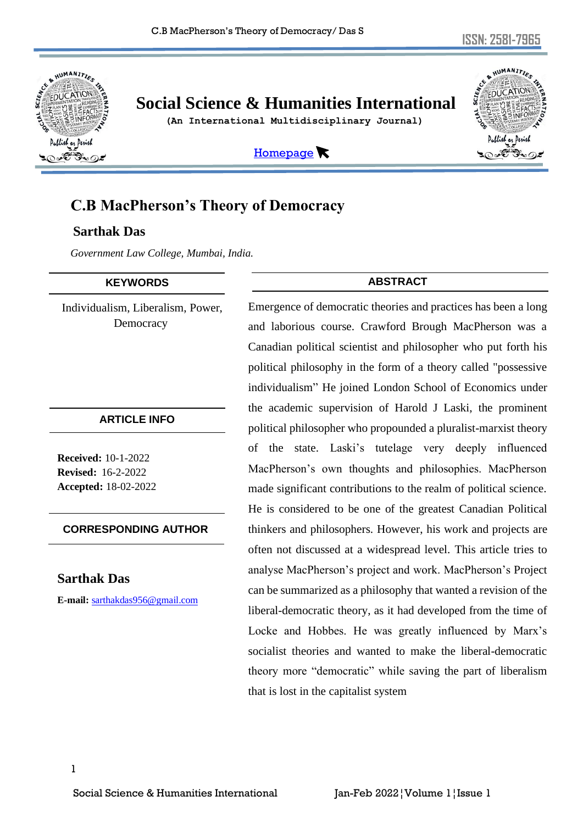

# **Social Science & Humanities International**

 **(An International Multidisciplinary Journal)**



[Homepage](http://sshi.in/index.asp)

## **C.B MacPherson's Theory of Democracy**

## **Sarthak Das**

*Government Law College, Mumbai, India.*

#### **KEYWORDS**

Individualism, Liberalism, Power, Democracy

#### **ARTICLE INFO**

**Received:** 10-1-2022 **Revised:** 16-2-2022 **Accepted:** 18-02-2022

#### **CORRESPONDING AUTHOR**

## **Sarthak Das**

**E-mail:** [sarthakdas956@gmail.com](mailto:sarthakdas956@gmail.com)

## **ABSTRACT**

Emergence of democratic theories and practices has been a long and laborious course. Crawford Brough MacPherson was a Canadian political scientist and philosopher who put forth his political philosophy in the form of a theory called "possessive individualism" He joined London School of Economics under the academic supervision of Harold J Laski, the prominent political philosopher who propounded a pluralist-marxist theory of the state. Laski's tutelage very deeply influenced MacPherson's own thoughts and philosophies. MacPherson made significant contributions to the realm of political science. He is considered to be one of the greatest Canadian Political thinkers and philosophers. However, his work and projects are often not discussed at a widespread level. This article tries to analyse MacPherson's project and work. MacPherson's Project can be summarized as a philosophy that wanted a revision of the liberal-democratic theory, as it had developed from the time of Locke and Hobbes. He was greatly influenced by Marx's socialist theories and wanted to make the liberal-democratic theory more "democratic" while saving the part of liberalism that is lost in the capitalist system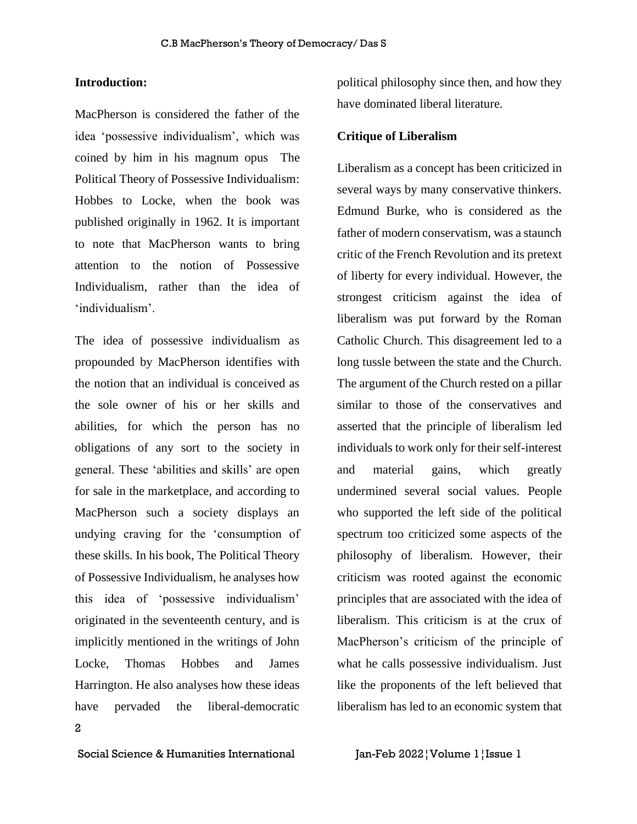#### **Introduction:**

MacPherson is considered the father of the idea 'possessive individualism', which was coined by him in his magnum opus [The](http://www.amazon.com/Political-Theory-Possessive-Individualism-Wynford/dp/0195444019?ie=UTF8&tag=danlithompag-20&link_code=btl&camp=213689&creative=392969)  [Political Theory of Possessive Individualism:](http://www.amazon.com/Political-Theory-Possessive-Individualism-Wynford/dp/0195444019?ie=UTF8&tag=danlithompag-20&link_code=btl&camp=213689&creative=392969)  [Hobbes to Locke,](http://www.amazon.com/Political-Theory-Possessive-Individualism-Wynford/dp/0195444019?ie=UTF8&tag=danlithompag-20&link_code=btl&camp=213689&creative=392969) when the book was published originally in 1962. It is important to note that MacPherson wants to bring attention to the notion of Possessive Individualism, rather than the idea of 'individualism'.

2 The idea of possessive individualism as propounded by MacPherson identifies with the notion that an individual is conceived as the sole owner of his or her skills and abilities, for which the person has no obligations of any sort to the society in general. These 'abilities and skills' are open for sale in the marketplace, and according to MacPherson such a society displays an undying craving for the 'consumption of these skills. In his book, The Political Theory of Possessive Individualism, he analyses how this idea of 'possessive individualism' originated in the seventeenth century, and is implicitly mentioned in the writings of John Locke, Thomas Hobbes and James Harrington. He also analyses how these ideas have pervaded the liberal-democratic

political philosophy since then, and how they have dominated liberal literature.

#### **Critique of Liberalism**

Liberalism as a concept has been criticized in several ways by many conservative thinkers. Edmund Burke, who is considered as the father of modern conservatism, was a staunch critic of the French Revolution and its pretext of liberty for every individual. However, the strongest criticism against the idea of liberalism was put forward by the Roman Catholic Church. This disagreement led to a long tussle between the state and the Church. The argument of the Church rested on a pillar similar to those of the conservatives and asserted that the principle of liberalism led individuals to work only for their self-interest and material gains, which greatly undermined several social values. People who supported the left side of the political spectrum too criticized some aspects of the philosophy of liberalism. However, their criticism was rooted against the economic principles that are associated with the idea of liberalism. This criticism is at the crux of MacPherson's criticism of the principle of what he calls possessive individualism. Just like the proponents of the left believed that liberalism has led to an economic system that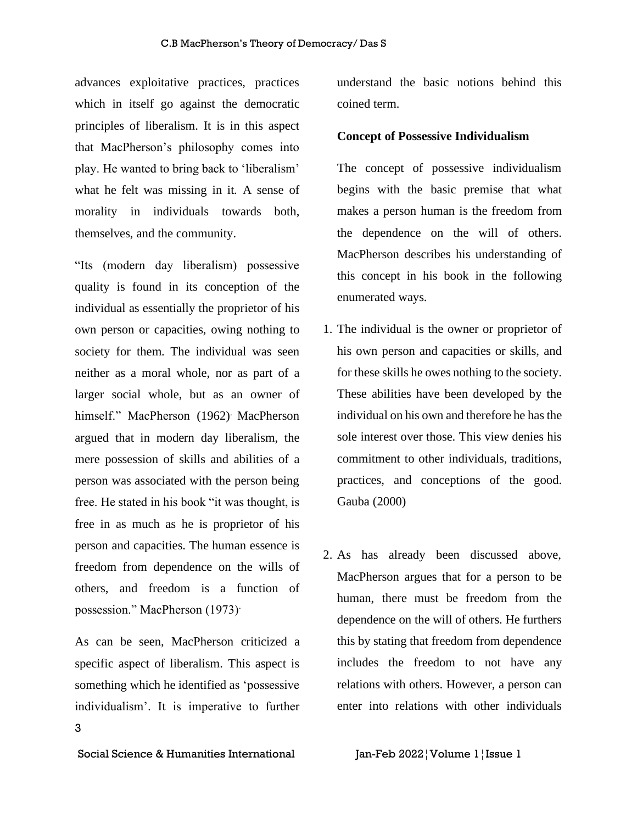advances exploitative practices, practices which in itself go against the democratic principles of liberalism. It is in this aspect that MacPherson's philosophy comes into play. He wanted to bring back to 'liberalism' what he felt was missing in it. A sense of morality in individuals towards both, themselves, and the community.

"Its (modern day liberalism) possessive quality is found in its conception of the individual as essentially the proprietor of his own person or capacities, owing nothing to society for them. The individual was seen neither as a moral whole, nor as part of a larger social whole, but as an owner of himself." MacPherson (1962) MacPherson argued that in modern day liberalism, the mere possession of skills and abilities of a person was associated with the person being free. He stated in his book "it was thought, is free in as much as he is proprietor of his person and capacities. The human essence is freedom from dependence on the wills of others, and freedom is a function of possession." MacPherson (1973).

3 As can be seen, MacPherson criticized a specific aspect of liberalism. This aspect is something which he identified as 'possessive individualism'. It is imperative to further

understand the basic notions behind this coined term.

#### **Concept of Possessive Individualism**

The concept of possessive individualism begins with the basic premise that what makes a person human is the freedom from the dependence on the will of others. MacPherson describes his understanding of this concept in his book in the following enumerated ways.

- 1. The individual is the owner or proprietor of his own person and capacities or skills, and for these skills he owes nothing to the society. These abilities have been developed by the individual on his own and therefore he has the sole interest over those. This view denies his commitment to other individuals, traditions, practices, and conceptions of the good. Gauba (2000)
- 2. As has already been discussed above, MacPherson argues that for a person to be human, there must be freedom from the dependence on the will of others. He furthers this by stating that freedom from dependence includes the freedom to not have any relations with others. However, a person can enter into relations with other individuals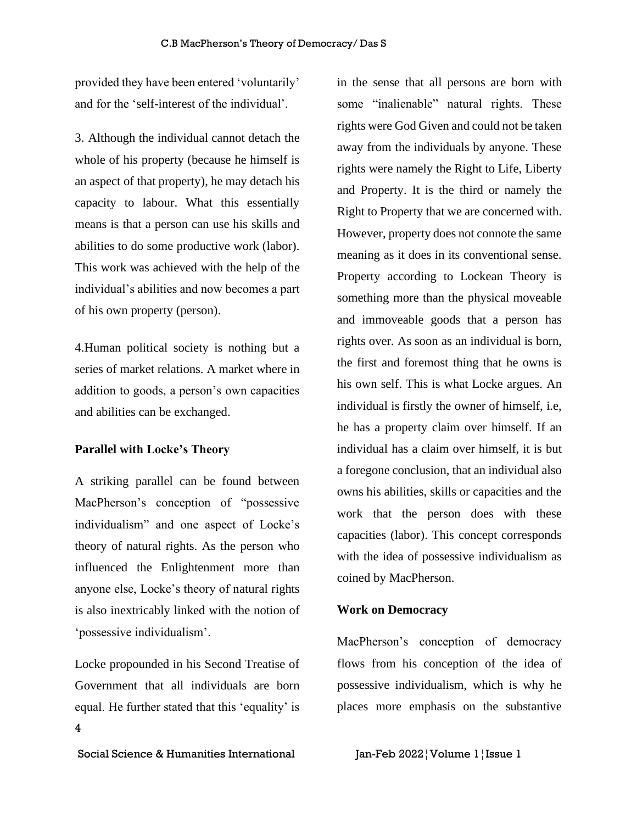provided they have been entered 'voluntarily' and for the 'self-interest of the individual'.

3. Although the individual cannot detach the whole of his property (because he himself is an aspect of that property), he may detach his capacity to labour. What this essentially means is that a person can use his skills and abilities to do some productive work (labor). This work was achieved with the help of the individual's abilities and now becomes a part of his own property (person).

4.Human political society is nothing but a series of market relations. A market where in addition to goods, a person's own capacities and abilities can be exchanged.

#### **Parallel with Locke's Theory**

A striking parallel can be found between MacPherson's conception of "possessive individualism" and one aspect of Locke's theory of natural rights. As the person who influenced the Enlightenment more than anyone else, Locke's theory of natural rights is also inextricably linked with the notion of 'possessive individualism'.

4 Locke propounded in his Second Treatise of Government that all individuals are born equal. He further stated that this 'equality' is

Social Science & Humanities International Jan-Feb 2022¦Volume 1¦Issue 1

in the sense that all persons are born with some "inalienable" natural rights. These rights were God Given and could not be taken away from the individuals by anyone. These rights were namely the Right to Life, Liberty and Property. It is the third or namely the Right to Property that we are concerned with. However, property does not connote the same meaning as it does in its conventional sense. Property according to Lockean Theory is something more than the physical moveable and immoveable goods that a person has rights over. As soon as an individual is born, the first and foremost thing that he owns is his own self. This is what Locke argues. An individual is firstly the owner of himself, i.e, he has a property claim over himself. If an individual has a claim over himself, it is but a foregone conclusion, that an individual also owns his abilities, skills or capacities and the work that the person does with these capacities (labor). This concept corresponds with the idea of possessive individualism as coined by MacPherson.

#### **Work on Democracy**

MacPherson's conception of democracy flows from his conception of the idea of possessive individualism, which is why he places more emphasis on the substantive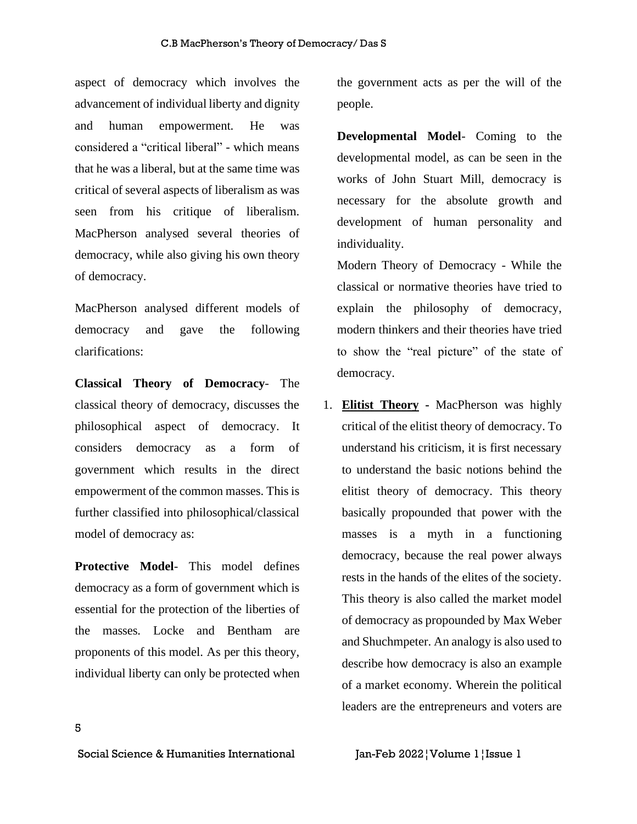aspect of democracy which involves the advancement of individual liberty and dignity and human empowerment. He was considered a "critical liberal" - which means that he was a liberal, but at the same time was critical of several aspects of liberalism as was seen from his critique of liberalism. MacPherson analysed several theories of democracy, while also giving his own theory of democracy.

MacPherson analysed different models of democracy and gave the following clarifications:

**Classical Theory of Democracy**- The classical theory of democracy, discusses the philosophical aspect of democracy. It considers democracy as a form of government which results in the direct empowerment of the common masses. This is further classified into philosophical/classical model of democracy as:

**Protective Model**- This model defines democracy as a form of government which is essential for the protection of the liberties of the masses. Locke and Bentham are proponents of this model. As per this theory, individual liberty can only be protected when the government acts as per the will of the people.

**Developmental Model**- Coming to the developmental model, as can be seen in the works of John Stuart Mill, democracy is necessary for the absolute growth and development of human personality and individuality.

Modern Theory of Democracy - While the classical or normative theories have tried to explain the philosophy of democracy, modern thinkers and their theories have tried to show the "real picture" of the state of democracy.

1. **Elitist Theory -** MacPherson was highly critical of the elitist theory of democracy. To understand his criticism, it is first necessary to understand the basic notions behind the elitist theory of democracy. This theory basically propounded that power with the masses is a myth in a functioning democracy, because the real power always rests in the hands of the elites of the society. This theory is also called the market model of democracy as propounded by Max Weber and Shuchmpeter. An analogy is also used to describe how democracy is also an example of a market economy. Wherein the political leaders are the entrepreneurs and voters are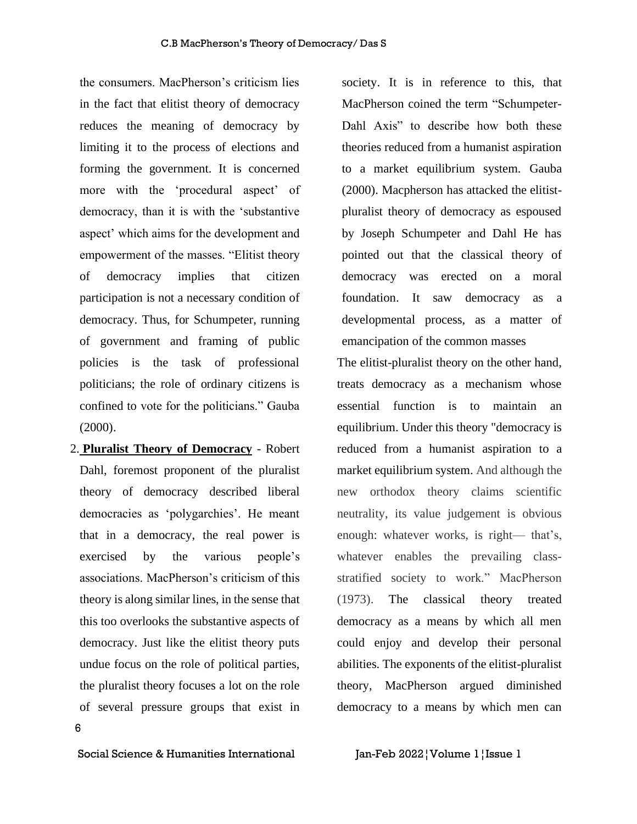the consumers. MacPherson's criticism lies in the fact that elitist theory of democracy reduces the meaning of democracy by limiting it to the process of elections and forming the government. It is concerned more with the 'procedural aspect' of democracy, than it is with the 'substantive aspect' which aims for the development and empowerment of the masses. "Elitist theory of democracy implies that citizen participation is not a necessary condition of democracy. Thus, for Schumpeter, running of government and framing of public policies is the task of professional politicians; the role of ordinary citizens is confined to vote for the politicians." Gauba  $(2000).$ 

6 2. **Pluralist Theory of Democracy** - Robert Dahl, foremost proponent of the pluralist theory of democracy described liberal democracies as 'polygarchies'. He meant that in a democracy, the real power is exercised by the various people's associations. MacPherson's criticism of this theory is along similar lines, in the sense that this too overlooks the substantive aspects of democracy. Just like the elitist theory puts undue focus on the role of political parties, the pluralist theory focuses a lot on the role of several pressure groups that exist in

society. It is in reference to this, that MacPherson coined the term "Schumpeter-Dahl Axis" to describe how both these theories reduced from a humanist aspiration to a market equilibrium system. Gauba (2000). Macpherson has attacked the elitistpluralist theory of democracy as espoused by Joseph Schumpeter and Dahl He has pointed out that the classical theory of democracy was erected on a moral foundation. It saw democracy as a developmental process, as a matter of emancipation of the common masses

The elitist-pluralist theory on the other hand, treats democracy as a mechanism whose essential function is to maintain an equilibrium. Under this theory "democracy is reduced from a humanist aspiration to a market equilibrium system. And although the new orthodox theory claims scientific neutrality, its value judgement is obvious enough: whatever works, is right— that's, whatever enables the prevailing classstratified society to work." MacPherson (1973). The classical theory treated democracy as a means by which all men could enjoy and develop their personal abilities. The exponents of the elitist-pluralist theory, MacPherson argued diminished democracy to a means by which men can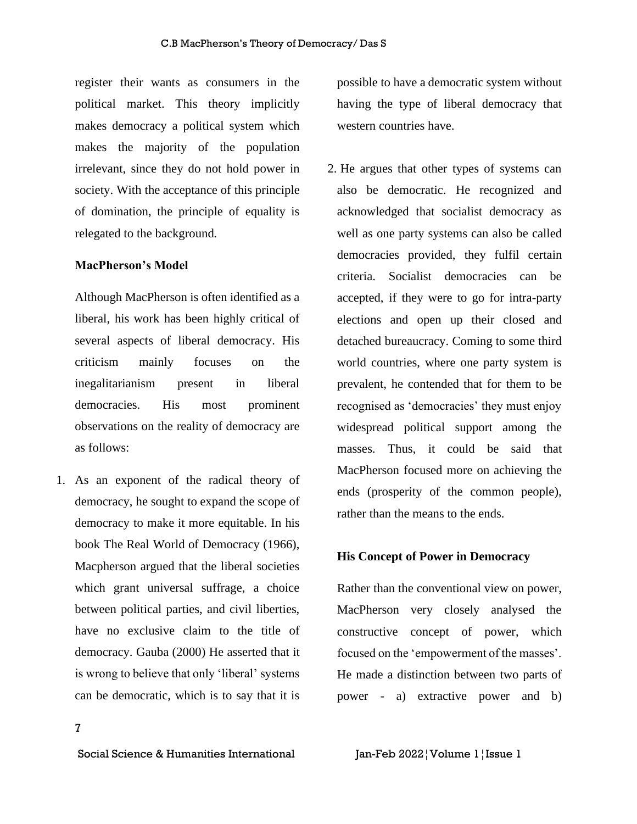register their wants as consumers in the political market. This theory implicitly makes democracy a political system which makes the majority of the population irrelevant, since they do not hold power in society. With the acceptance of this principle of domination, the principle of equality is relegated to the background.

#### **MacPherson's Model**

Although MacPherson is often identified as a liberal, his work has been highly critical of several aspects of liberal democracy. His criticism mainly focuses on the inegalitarianism present in liberal democracies. His most prominent observations on the reality of democracy are as follows:

1. As an exponent of the radical theory of democracy, he sought to expand the scope of democracy to make it more equitable. In his book The Real World of Democracy (1966), Macpherson argued that the liberal societies which grant universal suffrage, a choice between political parties, and civil liberties, have no exclusive claim to the title of democracy. Gauba (2000) He asserted that it is wrong to believe that only 'liberal' systems can be democratic, which is to say that it is

possible to have a democratic system without having the type of liberal democracy that western countries have.

2. He argues that other types of systems can also be democratic. He recognized and acknowledged that socialist democracy as well as one party systems can also be called democracies provided, they fulfil certain criteria. Socialist democracies can be accepted, if they were to go for intra-party elections and open up their closed and detached bureaucracy. Coming to some third world countries, where one party system is prevalent, he contended that for them to be recognised as 'democracies' they must enjoy widespread political support among the masses. Thus, it could be said that MacPherson focused more on achieving the ends (prosperity of the common people), rather than the means to the ends.

#### **His Concept of Power in Democracy**

Rather than the conventional view on power, MacPherson very closely analysed the constructive concept of power, which focused on the 'empowerment of the masses'. He made a distinction between two parts of power - a) extractive power and b)

7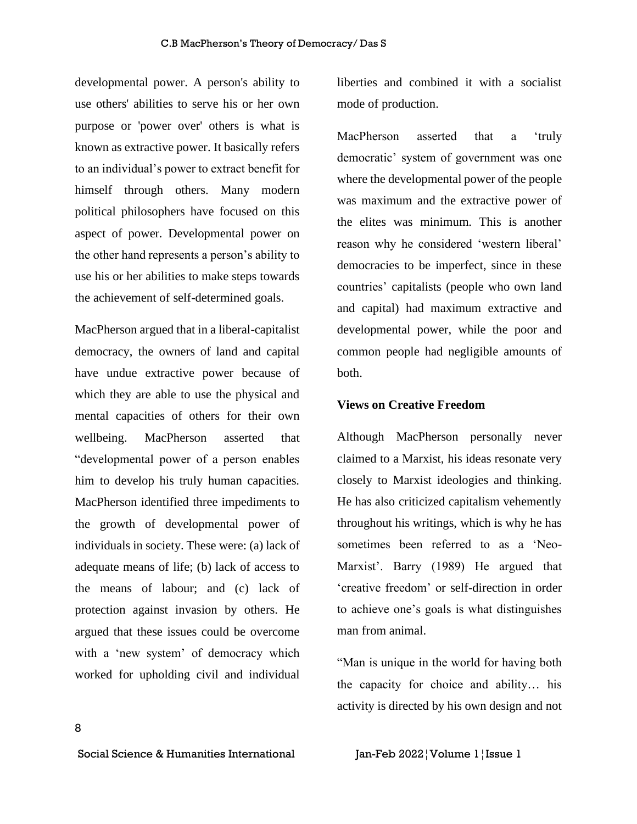developmental power. A person's ability to use others' abilities to serve his or her own purpose or 'power over' others is what is known as extractive power. It basically refers to an individual's power to extract benefit for himself through others. Many modern political philosophers have focused on this aspect of power. Developmental power on the other hand represents a person's ability to use his or her abilities to make steps towards the achievement of self-determined goals.

MacPherson argued that in a liberal-capitalist democracy, the owners of land and capital have undue extractive power because of which they are able to use the physical and mental capacities of others for their own wellbeing. MacPherson asserted that "developmental power of a person enables him to develop his truly human capacities. MacPherson identified three impediments to the growth of developmental power of individuals in society. These were: (a) lack of adequate means of life; (b) lack of access to the means of labour; and (c) lack of protection against invasion by others. He argued that these issues could be overcome with a 'new system' of democracy which worked for upholding civil and individual liberties and combined it with a socialist mode of production.

MacPherson asserted that a 'truly democratic' system of government was one where the developmental power of the people was maximum and the extractive power of the elites was minimum. This is another reason why he considered 'western liberal' democracies to be imperfect, since in these countries' capitalists (people who own land and capital) had maximum extractive and developmental power, while the poor and common people had negligible amounts of both.

#### **Views on Creative Freedom**

Although MacPherson personally never claimed to a Marxist, his ideas resonate very closely to Marxist ideologies and thinking. He has also criticized capitalism vehemently throughout his writings, which is why he has sometimes been referred to as a 'Neo-Marxist'. Barry (1989) He argued that 'creative freedom' or self-direction in order to achieve one's goals is what distinguishes man from animal.

"Man is unique in the world for having both the capacity for choice and ability… his activity is directed by his own design and not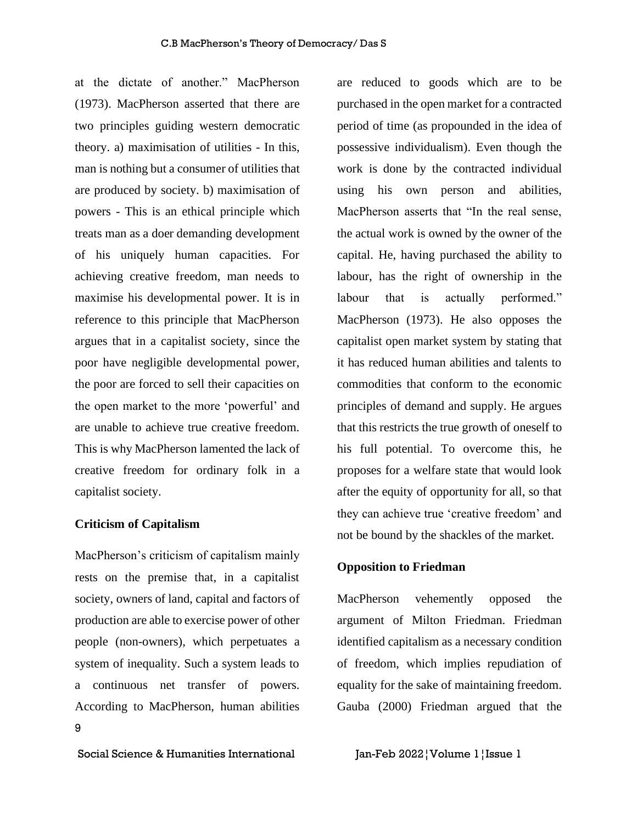at the dictate of another." MacPherson (1973). MacPherson asserted that there are two principles guiding western democratic theory. a) maximisation of utilities - In this, man is nothing but a consumer of utilities that are produced by society. b) maximisation of powers - This is an ethical principle which treats man as a doer demanding development of his uniquely human capacities. For achieving creative freedom, man needs to maximise his developmental power. It is in reference to this principle that MacPherson argues that in a capitalist society, since the poor have negligible developmental power, the poor are forced to sell their capacities on the open market to the more 'powerful' and are unable to achieve true creative freedom. This is why MacPherson lamented the lack of creative freedom for ordinary folk in a capitalist society.

#### **Criticism of Capitalism**

9 MacPherson's criticism of capitalism mainly rests on the premise that, in a capitalist society, owners of land, capital and factors of production are able to exercise power of other people (non-owners), which perpetuates a system of inequality. Such a system leads to a continuous net transfer of powers. According to MacPherson, human abilities

are reduced to goods which are to be purchased in the open market for a contracted period of time (as propounded in the idea of possessive individualism). Even though the work is done by the contracted individual using his own person and abilities, MacPherson asserts that "In the real sense, the actual work is owned by the owner of the capital. He, having purchased the ability to labour, has the right of ownership in the labour that is actually performed." MacPherson (1973). He also opposes the capitalist open market system by stating that it has reduced human abilities and talents to commodities that conform to the economic principles of demand and supply. He argues that this restricts the true growth of oneself to his full potential. To overcome this, he proposes for a welfare state that would look after the equity of opportunity for all, so that they can achieve true 'creative freedom' and not be bound by the shackles of the market.

#### **Opposition to Friedman**

MacPherson vehemently opposed the argument of Milton Friedman. Friedman identified capitalism as a necessary condition of freedom, which implies repudiation of equality for the sake of maintaining freedom. Gauba (2000) Friedman argued that the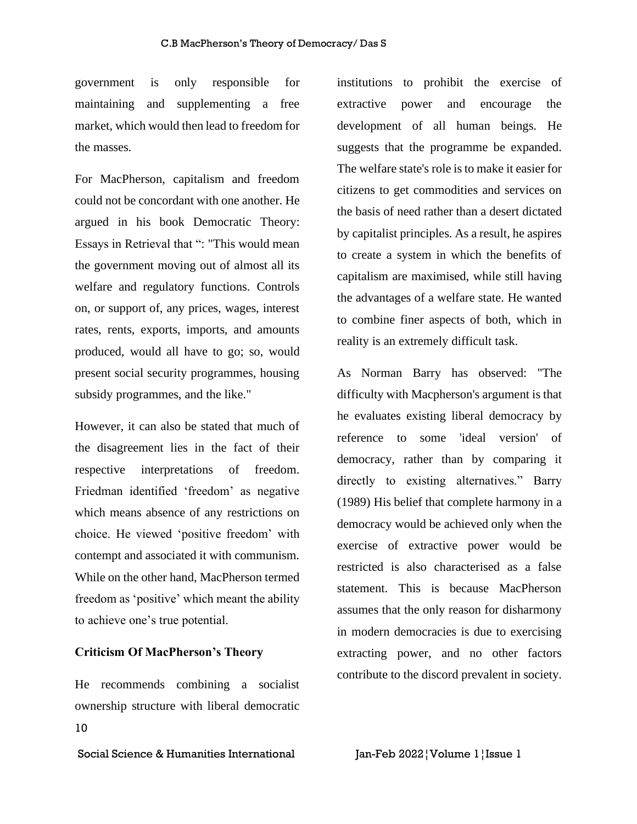government is only responsible for maintaining and supplementing a free market, which would then lead to freedom for the masses.

For MacPherson, capitalism and freedom could not be concordant with one another. He argued in his book Democratic Theory: Essays in Retrieval that ": "This would mean the government moving out of almost all its welfare and regulatory functions. Controls on, or support of, any prices, wages, interest rates, rents, exports, imports, and amounts produced, would all have to go; so, would present social security programmes, housing subsidy programmes, and the like."

However, it can also be stated that much of the disagreement lies in the fact of their respective interpretations of freedom. Friedman identified 'freedom' as negative which means absence of any restrictions on choice. He viewed 'positive freedom' with contempt and associated it with communism. While on the other hand, MacPherson termed freedom as 'positive' which meant the ability to achieve one's true potential.

#### **Criticism Of MacPherson's Theory**

10 He recommends combining a socialist ownership structure with liberal democratic institutions to prohibit the exercise of extractive power and encourage the development of all human beings. He suggests that the programme be expanded. The welfare state's role is to make it easier for citizens to get commodities and services on the basis of need rather than a desert dictated by capitalist principles. As a result, he aspires to create a system in which the benefits of capitalism are maximised, while still having the advantages of a welfare state. He wanted to combine finer aspects of both, which in reality is an extremely difficult task.

As Norman Barry has observed: "The difficulty with Macpherson's argument is that he evaluates existing liberal democracy by reference to some 'ideal version' of democracy, rather than by comparing it directly to existing alternatives." Barry (1989) His belief that complete harmony in a democracy would be achieved only when the exercise of extractive power would be restricted is also characterised as a false statement. This is because MacPherson assumes that the only reason for disharmony in modern democracies is due to exercising extracting power, and no other factors contribute to the discord prevalent in society.